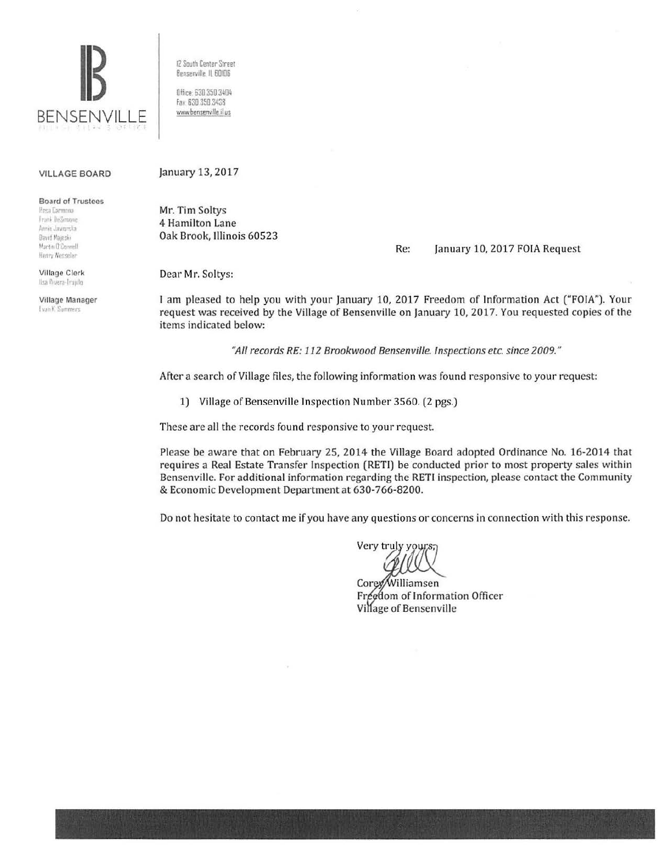

12 South Center Street Bensenville, IL 60106

Office: 630.350.3404 Fax: 630 350 3438 www.bensenville.il us

#### **VILLAGE BOARD**

**Board of Trustees** 

**Hesa Carmona** Frank DeSmone Annie Jawarska David Majeski Martin O'Connell Henry Wesseler

Village Clerk Ilsa Rivera-Trujillo

Village Manager **Evan K. Summers** 

January 13, 2017

Mr. Tim Soltys 4 Hamilton Lane Oak Brook, Illinois 60523

Re: January 10, 2017 FOIA Request

Dear Mr. Soltys:

I am pleased to help you with your January 10, 2017 Freedom of Information Act ("FOIA"). Your request was received by the Village of Bensenville on January 10, 2017. You requested copies of the items indicated below:

"All records RE: 112 Brookwood Bensenville. Inspections etc. since 2009."

After a search of Village files, the following information was found responsive to your request:

1) Village of Bensenville Inspection Number 3560. (2 pgs.)

These are all the records found responsive to your request.

Please be aware that on February 25, 2014 the Village Board adopted Ordinance No. 16-2014 that requires a Real Estate Transfer Inspection (RETI) be conducted prior to most property sales within Bensenville. For additional information regarding the RETI inspection, please contact the Community & Economic Development Department at 630-766-8200.

Do not hesitate to contact me if you have any questions or concerns in connection with this response.

Very truly yours;

Corey/Williamsen Freedom of Information Officer Village of Bensenville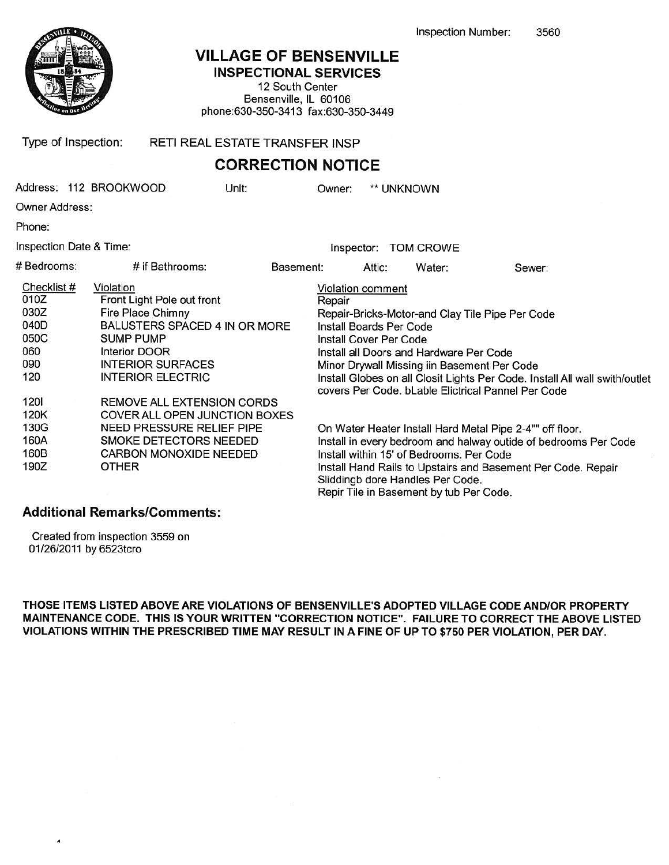

# VILLAGE OF BENSENVILLE

INSPECTIONAL SERVICES

12 South Center Bensenville, IL 60106 phone:630-350-3413 fax:630-350-3449

Type of Inspection: RETI REAL ESTATE TRANSFER INSP

### CORRECTION NOTICE

|                                                                          | Address: 112 BROOKWOOD                                                                                                                                                                                            | Unit:     | Owner:                                                                                                                                                                                                                                                                                                                 |        | ** UNKNOWN                                                                             |                                                                                                                                                                                      |  |
|--------------------------------------------------------------------------|-------------------------------------------------------------------------------------------------------------------------------------------------------------------------------------------------------------------|-----------|------------------------------------------------------------------------------------------------------------------------------------------------------------------------------------------------------------------------------------------------------------------------------------------------------------------------|--------|----------------------------------------------------------------------------------------|--------------------------------------------------------------------------------------------------------------------------------------------------------------------------------------|--|
| Owner Address:                                                           |                                                                                                                                                                                                                   |           |                                                                                                                                                                                                                                                                                                                        |        |                                                                                        |                                                                                                                                                                                      |  |
| Phone:                                                                   |                                                                                                                                                                                                                   |           |                                                                                                                                                                                                                                                                                                                        |        |                                                                                        |                                                                                                                                                                                      |  |
| Inspection Date & Time:                                                  |                                                                                                                                                                                                                   |           |                                                                                                                                                                                                                                                                                                                        |        | Inspector: TOM CROWE                                                                   |                                                                                                                                                                                      |  |
| # Bedrooms:                                                              | # if Bathrooms:                                                                                                                                                                                                   | Basement: |                                                                                                                                                                                                                                                                                                                        | Attic: | Water:                                                                                 | Sewer:                                                                                                                                                                               |  |
| Checklist #<br>010Z<br>030Z<br>040D<br>050C<br>060<br>090<br>120<br>1201 | Violation<br>Front Light Pole out front<br>Fire Place Chimny<br>BALUSTERS SPACED 4 IN OR MORE<br>SUMP PUMP<br>Interior DOOR<br><b>INTERIOR SURFACES</b><br><b>INTERIOR ELECTRIC</b><br>REMOVE ALL EXTENSION CORDS |           | <b>Violation comment</b><br>Repair<br>Install Boards Per Code<br><b>Install Cover Per Code</b>                                                                                                                                                                                                                         |        | Install all Doors and Hardware Per Code<br>Minor Drywall Missing iin Basement Per Code | Repair-Bricks-Motor-and Clay Tile Pipe Per Code<br>Install Globes on all Closit Lights Per Code. Install All wall swith/outlet<br>covers Per Code. bLable Elictrical Pannel Per Code |  |
| 120K<br>130G<br>160A<br>160B<br>190Z                                     | COVER ALL OPEN JUNCTION BOXES<br>NEED PRESSURE RELIEF PIPE<br>SMOKE DETECTORS NEEDED<br>CARBON MONOXIDE NEEDED<br>OTHER                                                                                           |           | On Water Heater Install Hard Metal Pipe 2-4"" off floor.<br>Install in every bedroom and halway outide of bedrooms Per Code<br>Install within 15' of Bedrooms. Per Code<br>Install Hand Rails to Upstairs and Basement Per Code. Repair<br>Sliddingb dore Handles Per Code.<br>Repir Tile in Basement by tub Per Code. |        |                                                                                        |                                                                                                                                                                                      |  |

### Additional Remarks/Comments:

Created from inspection 3559 on 01/26/2011 by 6523tcro

...

THOSE ITEMS LISTED ABOVE ARE VIOLATIONS OF BENSENVILLE'S ADOPTED VILLAGE CODE AND/OR PROPERTY MAINTENANCE CODE. THIS IS YOUR WRITTEN "CORRECTION NOTICE". FAILURE TO CORRECT THE ABOVE LISTED VIOLATIONS WITHIN THE PRESCRIBED TIME MAY RESULT IN A FINE OF UP TO \$750 PER VIOLATION, PER DAY .